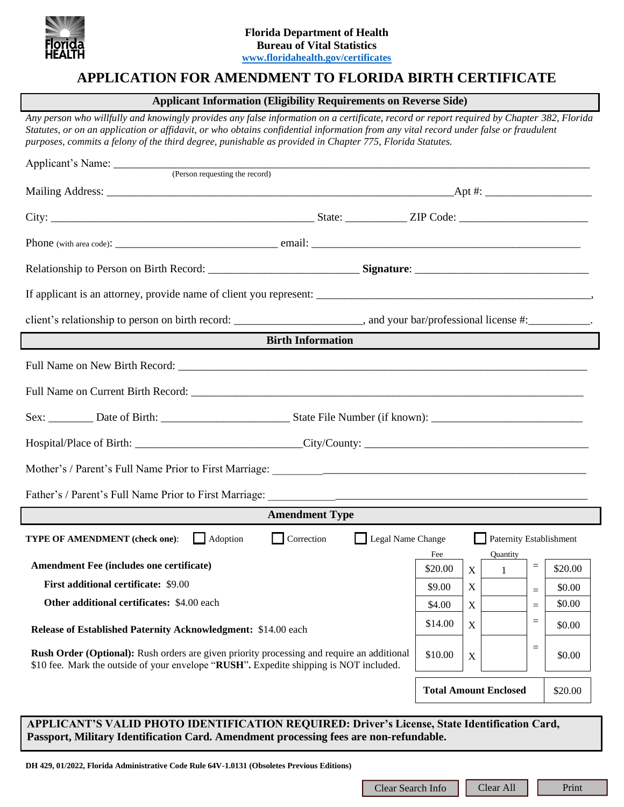

# **APPLICATION FOR AMENDMENT TO FLORIDA BIRTH CERTIFICATE**

### **Applicant Information (Eligibility Requirements on Reverse Side)**

*Any person who willfully and knowingly provides any false information on a certificate, record or report required by Chapter 382, Florida Statutes, or on an application or affidavit, or who obtains confidential information from any vital record under false or fraudulent purposes, commits a felony of the third degree, punishable as provided in Chapter 775, Florida Statutes.*

| client's relationship to person on birth record: ___________________________, and your bar/professional license #:______________.                                                           |                |                                         |                   |                   |         |
|---------------------------------------------------------------------------------------------------------------------------------------------------------------------------------------------|----------------|-----------------------------------------|-------------------|-------------------|---------|
| <b>Birth Information</b>                                                                                                                                                                    |                |                                         |                   |                   |         |
|                                                                                                                                                                                             |                |                                         |                   |                   |         |
|                                                                                                                                                                                             |                |                                         |                   |                   |         |
|                                                                                                                                                                                             |                |                                         |                   |                   |         |
|                                                                                                                                                                                             |                |                                         |                   |                   |         |
|                                                                                                                                                                                             |                |                                         |                   |                   |         |
|                                                                                                                                                                                             |                |                                         |                   |                   |         |
| <b>Amendment Type</b>                                                                                                                                                                       |                |                                         |                   |                   |         |
| Correction<br>Legal Name Change<br><b>TYPE OF AMENDMENT</b> (check one):<br>Adoption<br>Paternity Establishment                                                                             |                |                                         |                   |                   |         |
| Amendment Fee (includes one certificate)                                                                                                                                                    | Fee<br>\$20.00 | X                                       | Quantity<br>$1 -$ | $\qquad \qquad =$ | \$20.00 |
| First additional certificate: \$9.00                                                                                                                                                        | \$9.00         | $X_{-}$                                 |                   | $=$               | \$0.00  |
| <b>Other additional certificates: \$4.00 each</b>                                                                                                                                           | \$4.00         | $\mathbf X$                             |                   | $=$               | \$0.00  |
| Release of Established Paternity Acknowledgment: \$14.00 each                                                                                                                               | \$14.00        | $\mathbf X$                             |                   | $=$               | \$0.00  |
| <b>Rush Order (Optional):</b> Rush orders are given priority processing and require an additional<br>\$10 fee. Mark the outside of your envelope "RUSH". Expedite shipping is NOT included. | \$10.00        | $\mathbf X$                             |                   | $\quad \  \  =$   | \$0.00  |
|                                                                                                                                                                                             |                | <b>Total Amount Enclosed</b><br>\$20.00 |                   |                   |         |
| APPLICANT'S VALID PHOTO IDENTIFICATION REQUIRED: Driver's License, State Identification Card,<br>Passport, Military Identification Card. Amendment processing fees are non-refundable.      |                |                                         |                   |                   |         |
| DH 429, 01/2022, Florida Administrative Code Rule 64V-1.0131 (Obsoletes Previous Editions)                                                                                                  |                |                                         |                   |                   |         |
| Clear Search Info                                                                                                                                                                           |                |                                         | Clear All         |                   | Print   |